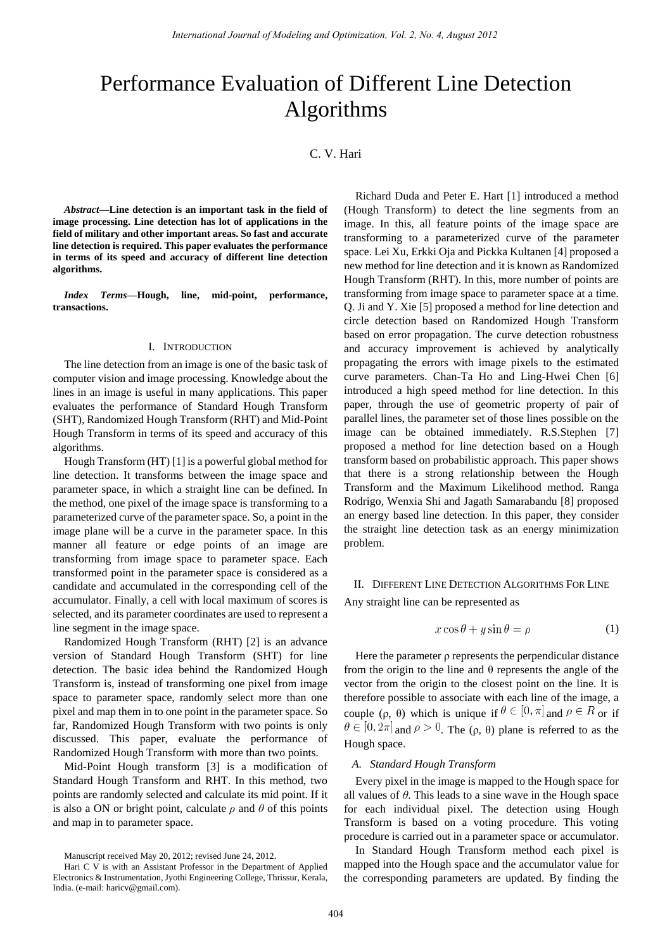# Performance Evaluation of Different Line Detection Algorithms

C. V. Hari

*Abstract***—Line detection is an important task in the field of image processing. Line detection has lot of applications in the field of military and other important areas. So fast and accurate line detection is required. This paper evaluates the performance in terms of its speed and accuracy of different line detection algorithms.** 

*Index Terms***—Hough, line, mid-point, performance, transactions.** 

# I. INTRODUCTION

The line detection from an image is one of the basic task of computer vision and image processing. Knowledge about the lines in an image is useful in many applications. This paper evaluates the performance of Standard Hough Transform (SHT), Randomized Hough Transform (RHT) and Mid-Point Hough Transform in terms of its speed and accuracy of this algorithms.

Hough Transform (HT) [1] is a powerful global method for line detection. It transforms between the image space and parameter space, in which a straight line can be defined. In the method, one pixel of the image space is transforming to a parameterized curve of the parameter space. So, a point in the image plane will be a curve in the parameter space. In this manner all feature or edge points of an image are transforming from image space to parameter space. Each transformed point in the parameter space is considered as a candidate and accumulated in the corresponding cell of the accumulator. Finally, a cell with local maximum of scores is selected, and its parameter coordinates are used to represent a line segment in the image space.

Randomized Hough Transform (RHT) [2] is an advance version of Standard Hough Transform (SHT) for line detection. The basic idea behind the Randomized Hough Transform is, instead of transforming one pixel from image space to parameter space, randomly select more than one pixel and map them in to one point in the parameter space. So far, Randomized Hough Transform with two points is only discussed. This paper, evaluate the performance of Randomized Hough Transform with more than two points.

Mid-Point Hough transform [3] is a modification of Standard Hough Transform and RHT. In this method, two points are randomly selected and calculate its mid point. If it is also a ON or bright point, calculate  $\rho$  and  $\theta$  of this points and map in to parameter space.

Richard Duda and Peter E. Hart [1] introduced a method (Hough Transform) to detect the line segments from an image. In this, all feature points of the image space are transforming to a parameterized curve of the parameter space. Lei Xu, Erkki Oja and Pickka Kultanen [4] proposed a new method for line detection and it is known as Randomized Hough Transform (RHT). In this, more number of points are transforming from image space to parameter space at a time. Q. Ji and Y. Xie [5] proposed a method for line detection and circle detection based on Randomized Hough Transform based on error propagation. The curve detection robustness and accuracy improvement is achieved by analytically propagating the errors with image pixels to the estimated curve parameters. Chan-Ta Ho and Ling-Hwei Chen [6] introduced a high speed method for line detection. In this paper, through the use of geometric property of pair of parallel lines, the parameter set of those lines possible on the image can be obtained immediately. R.S.Stephen [7] proposed a method for line detection based on a Hough transform based on probabilistic approach. This paper shows that there is a strong relationship between the Hough Transform and the Maximum Likelihood method. Ranga Rodrigo, Wenxia Shi and Jagath Samarabandu [8] proposed an energy based line detection. In this paper, they consider the straight line detection task as an energy minimization problem.

## II. DIFFERENT LINE DETECTION ALGORITHMS FOR LINE

Any straight line can be represented as

$$
x\cos\theta + y\sin\theta = \rho \tag{1}
$$

Here the parameter ρ represents the perpendicular distance from the origin to the line and  $\theta$  represents the angle of the vector from the origin to the closest point on the line. It is therefore possible to associate with each line of the image, a couple (ρ, θ) which is unique if  $\theta \in [0, \pi]$  and  $\rho \in \mathbb{R}$  or if  $\theta \in [0, 2\pi]$  and  $\rho > 0$ . The (ρ, θ) plane is referred to as the Hough space.

### *A. Standard Hough Transform*

Every pixel in the image is mapped to the Hough space for all values of *θ*. This leads to a sine wave in the Hough space for each individual pixel. The detection using Hough Transform is based on a voting procedure. This voting procedure is carried out in a parameter space or accumulator.

In Standard Hough Transform method each pixel is mapped into the Hough space and the accumulator value for the corresponding parameters are updated. By finding the

Manuscript received May 20, 2012; revised June 24, 2012.

Hari C V is with an Assistant Professor in the Department of Applied Electronics & Instrumentation, Jyothi Engineering College, Thrissur, Kerala, India. (e-mail: haricv@gmail.com).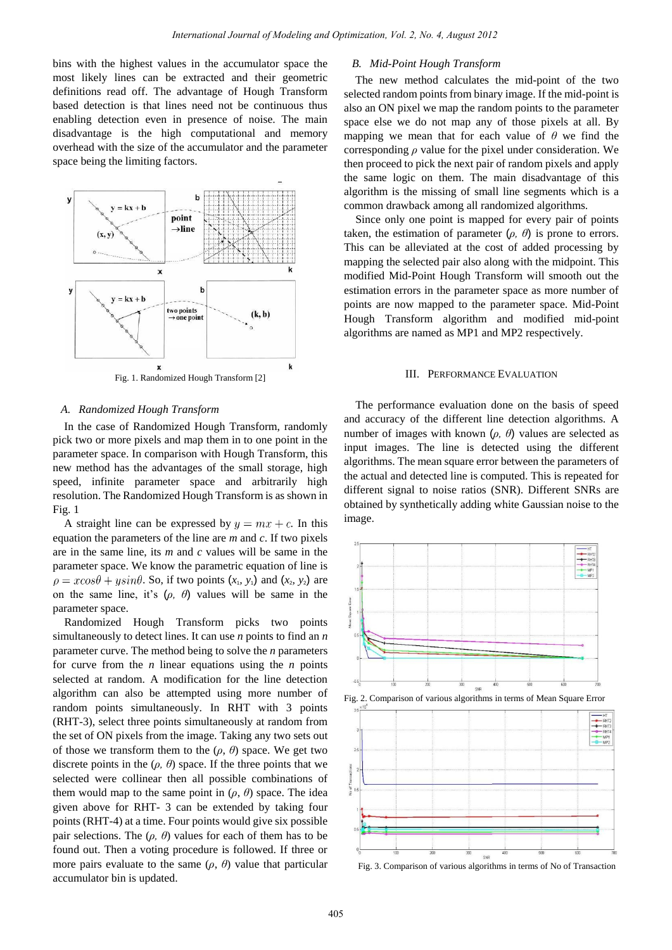bins with the highest values in the accumulator space the most likely lines can be extracted and their geometric definitions read off. The advantage of Hough Transform based detection is that lines need not be continuous thus enabling detection even in presence of noise. The main disadvantage is the high computational and memory overhead with the size of the accumulator and the parameter space being the limiting factors.



#### *A. Randomized Hough Transform*

In the case of Randomized Hough Transform, randomly pick two or more pixels and map them in to one point in the parameter space. In comparison with Hough Transform, this new method has the advantages of the small storage, high speed, infinite parameter space and arbitrarily high resolution. The Randomized Hough Transform is as shown in Fig. 1

A straight line can be expressed by  $y = mx + c$ . In this equation the parameters of the line are *m* and *c*. If two pixels are in the same line, its *m* and *c* values will be same in the parameter space. We know the parametric equation of line is  $\rho = x \cos \theta + y \sin \theta$ . So, if two points  $(x_1, y_1)$  and  $(x_2, y_2)$  are on the same line, it's (*ρ, θ*) values will be same in the parameter space.

Randomized Hough Transform picks two points simultaneously to detect lines. It can use *n* points to find an *n* parameter curve. The method being to solve the *n* parameters for curve from the *n* linear equations using the *n* points selected at random. A modification for the line detection algorithm can also be attempted using more number of random points simultaneously. In RHT with 3 points (RHT-3), select three points simultaneously at random from the set of ON pixels from the image. Taking any two sets out of those we transform them to the  $(\rho, \theta)$  space. We get two discrete points in the  $(\rho, \theta)$  space. If the three points that we selected were collinear then all possible combinations of them would map to the same point in  $(\rho, \theta)$  space. The idea given above for RHT- 3 can be extended by taking four points (RHT-4) at a time. Four points would give six possible pair selections. The  $(\rho, \theta)$  values for each of them has to be found out. Then a voting procedure is followed. If three or more pairs evaluate to the same  $(\rho, \theta)$  value that particular accumulator bin is updated.

# *B. Mid-Point Hough Transform*

The new method calculates the mid-point of the two selected random points from binary image. If the mid-point is also an ON pixel we map the random points to the parameter space else we do not map any of those pixels at all. By mapping we mean that for each value of  $\theta$  we find the corresponding *ρ* value for the pixel under consideration. We then proceed to pick the next pair of random pixels and apply the same logic on them. The main disadvantage of this algorithm is the missing of small line segments which is a common drawback among all randomized algorithms.

Since only one point is mapped for every pair of points taken, the estimation of parameter  $(\rho, \theta)$  is prone to errors. This can be alleviated at the cost of added processing by mapping the selected pair also along with the midpoint. This modified Mid-Point Hough Transform will smooth out the estimation errors in the parameter space as more number of points are now mapped to the parameter space. Mid-Point Hough Transform algorithm and modified mid-point algorithms are named as MP1 and MP2 respectively.

#### III. PERFORMANCE EVALUATION

The performance evaluation done on the basis of speed and accuracy of the different line detection algorithms. A number of images with known (*ρ, θ*) values are selected as input images. The line is detected using the different algorithms. The mean square error between the parameters of the actual and detected line is computed. This is repeated for different signal to noise ratios (SNR). Different SNRs are obtained by synthetically adding white Gaussian noise to the image.







Fig. 3. Comparison of various algorithms in terms of No of Transaction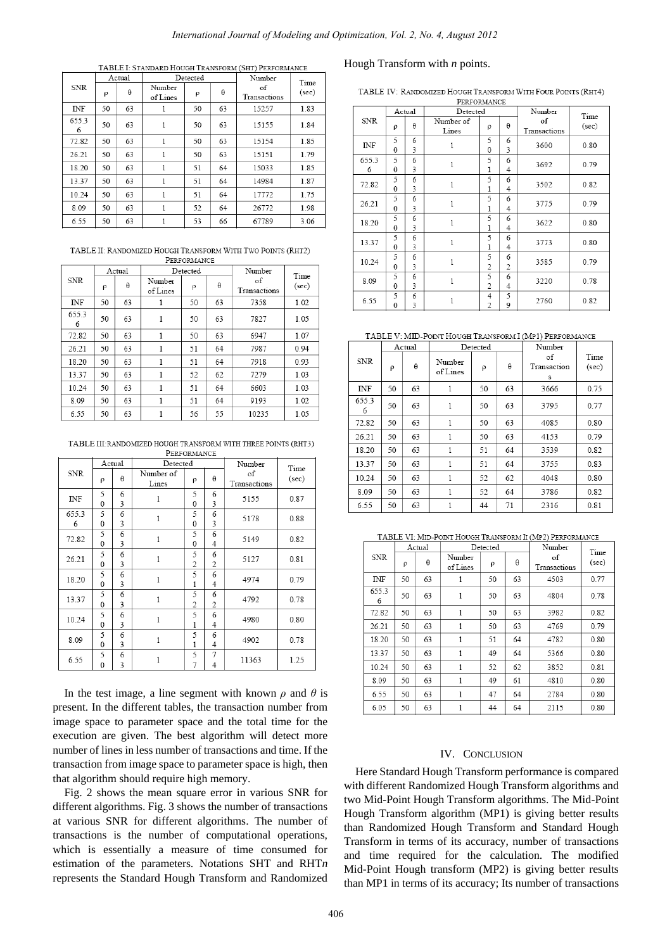# *International Journal of Modeling and Optimization, Vol. 2, No. 4, August 2012*

|            |    | Actual | Detected           |    |    | Number             | Time  |
|------------|----|--------|--------------------|----|----|--------------------|-------|
| <b>SNR</b> | ρ  | θ      | Number<br>of Lines | ρ  | θ  | of<br>Transactions | (sec) |
| <b>INF</b> | 50 | 63     |                    | 50 | 63 | 15257              | 1.83  |
| 655.3<br>6 | 50 | 63     | 1                  | 50 | 63 | 15155              | 1.84  |
| 72.82      | 50 | 63     | 1                  | 50 | 63 | 15154              | 1.85  |
| 26.21      | 50 | 63     | 1                  | 50 | 63 | 15151              | 1.79  |
| 18.20      | 50 | 63     | 1                  | 51 | 64 | 15033              | 1.85  |
| 13.37      | 50 | 63     | 1                  | 51 | 64 | 14984              | 1.87  |
| 10.24      | 50 | 63     | 1                  | 51 | 64 | 17772              | 1.75  |
| 8.09       | 50 | 63     | 1                  | 52 | 64 | 26772              | 1.98  |
| 6.55       | 50 | 63     | 1                  | 53 | 66 | 67789              | 3.06  |

TABLE II: RANDOMIZED HOUGH TRANSFORM WITH TWO POINTS (RHT2) PERFORMANCE

| <b>SNR</b> | Actual |    |                    | Detected |    | Number             | Time  |
|------------|--------|----|--------------------|----------|----|--------------------|-------|
|            | ρ      | θ  | Number<br>of Lines | ρ        | θ  | of<br>Transactions | (sec) |
| INF        | 50     | 63 |                    | 50       | 63 | 7358               | 1.02  |
| 655.3<br>6 | 50     | 63 | 1                  | 50       | 63 | 7827               | 1.05  |
| 72.82      | 50     | 63 | 1                  | 50       | 63 | 6947               | 1.07  |
| 26.21      | 50     | 63 | 1                  | 51       | 64 | 7987               | 0.94  |
| 18.20      | 50     | 63 | 1                  | 51       | 64 | 7918               | 0.93  |
| 13.37      | 50     | 63 | 1                  | 52       | 62 | 7279               | 1.03  |
| 10.24      | 50     | 63 | 1                  | 51       | 64 | 6603               | 1.03  |
| 8.09       | 50     | 63 | 1                  | 51       | 64 | 9193               | 1.02  |
| 6.55       | 50     | 63 |                    | 56       | 55 | 10235              | 1.05  |

TABLE III: RANDOMIZED HOUGH TRANSFORM WITH THREE POINTS (RHT3) PERFORMANCE

|             | Actual            |        | Detected           |        |                     | Number             | Time  |
|-------------|-------------------|--------|--------------------|--------|---------------------|--------------------|-------|
| SNR         | ρ                 | θ      | Number of<br>Lines | ρ      | θ                   | of<br>Transactions | (sec) |
| $_{\rm NF}$ | 5<br>$\mathbf{0}$ | 6<br>3 | 1                  | 5<br>0 | 6<br>3              | 5155               | 0.87  |
| 655.3<br>6  | 5<br>$\mathbf{0}$ | 6<br>3 | $\mathbf{1}$       | 5<br>0 | 6<br>3              | 5178               | 0.88  |
| 72.82       | 5<br>$\theta$     | 6<br>3 | 1                  | 5<br>0 | 6<br>4              | 5149               | 0.82  |
| 26.21       | 5<br>$\theta$     | 6<br>3 | $\mathbf{1}$       | 5<br>2 | 6<br>$\overline{2}$ | 5127               | 0.81  |
| 18.20       | 5<br>$\theta$     | 6<br>3 | $\mathbf{1}$       | 5<br>1 | 6<br>4              | 4974               | 0.79  |
| 13.37       | 5<br>$\mathbf{0}$ | 6<br>3 | $\mathbf{1}$       | 5<br>2 | 6<br>2              | 4792               | 0.78  |
| 10.24       | 5<br>$\Omega$     | 6<br>3 | $\mathbf{1}$       | 5<br>1 | 6<br>4              | 4980               | 0.80  |
| 8.09        | 5<br>$\theta$     | 6<br>3 | 1                  | 5<br>1 | 6<br>4              | 4902               | 0.78  |
| 6.55        | 5<br>0            | 6<br>3 | 1                  | 5<br>7 | 7<br>4              | 11363              | 1.25  |

In the test image, a line segment with known  $\rho$  and  $\theta$  is present. In the different tables, the transaction number from image space to parameter space and the total time for the execution are given. The best algorithm will detect more number of lines in less number of transactions and time. If the transaction from image space to parameter space is high, then that algorithm should require high memory.

Fig. 2 shows the mean square error in various SNR for different algorithms. Fig. 3 shows the number of transactions at various SNR for different algorithms. The number of transactions is the number of computational operations, which is essentially a measure of time consumed for estimation of the parameters. Notations SHT and RHT*n*  represents the Standard Hough Transform and Randomized

# Hough Transform with *n* points.

TABLE IV: RANDOMIZED HOUGH TRANSFORM WITH FOUR POINTS (RHT4)

| PERFORMANCE |                   |        |                    |                     |          |                    |               |  |
|-------------|-------------------|--------|--------------------|---------------------|----------|--------------------|---------------|--|
| <b>SNR</b>  | Actual            |        | Detected           |                     |          | Number             |               |  |
|             | ρ                 | θ      | Number of<br>Lines | ρ                   | $\theta$ | of<br>Transactions | Time<br>(sec) |  |
| <b>INF</b>  | 5<br>0            | 6<br>3 | 1                  | 5<br>0              | 6<br>3   | 3600               | 0.80          |  |
| 655.3<br>6  | 5<br>$\Omega$     | 6<br>3 | $\mathbf{1}$       | 5<br>1              | 6<br>4   | 3692               | 0.79          |  |
| 72.82       | 5<br>$\theta$     | 6<br>3 | 1                  | 5<br>1              | 6<br>4   | 3502               | 0.82          |  |
| 26.21       | 5<br>$\mathbf{0}$ | 6<br>3 | $\mathbf{1}$       | 5<br>1              | 6<br>4   | 3775               | 0.79          |  |
| 18.20       | 5<br>0            | 6<br>3 | $\mathbf{1}$       | 5<br>1              | 6<br>4   | 3622               | 0.80          |  |
| 13.37       | 5<br>$\theta$     | 6<br>3 | $\mathbf{1}$       | 5<br>1              | 6<br>4   | 3773               | 0.80          |  |
| 10.24       | 5<br>0            | 6<br>3 | 1                  | 5<br>$\overline{c}$ | 6<br>2   | 3585               | 0.79          |  |
| 8.09        | 5<br>$\mathbf{0}$ | 6<br>3 | $\mathbf{1}$       | 5<br>$\overline{2}$ | 6<br>4   | 3220               | 0.78          |  |
| 6.55        | 5<br>0            | 6<br>3 | 1                  | 4<br>$\overline{2}$ | 5<br>9   | 2760               | 0.82          |  |

#### TABLE V: MID-POINT HOUGH TRANSFORM I (MP1) PERFORMANCE

|            |    | Actual   |                    | Detected |    | Number                 |               |
|------------|----|----------|--------------------|----------|----|------------------------|---------------|
| <b>SNR</b> | ρ  | $\theta$ | Number<br>of Lines | ρ        | θ  | of<br>Transaction<br>s | Time<br>(sec) |
| <b>INF</b> | 50 | 63       | 1                  | 50       | 63 | 3666                   | 0.75          |
| 655.3<br>6 | 50 | 63       | 1                  | 50       | 63 | 3795                   | 0.77          |
| 72.82      | 50 | 63       | 1                  | 50       | 63 | 4085                   | 0.80          |
| 26.21      | 50 | 63       | 1                  | 50       | 63 | 4153                   | 0.79          |
| 18.20      | 50 | 63       | 1                  | 51       | 64 | 3539                   | 0.82          |
| 13.37      | 50 | 63       | 1                  | 51       | 64 | 3755                   | 0.83          |
| 10.24      | 50 | 63       | $\mathbf{1}$       | 52       | 62 | 4048                   | 0.80          |
| 8.09       | 50 | 63       | $\mathbf{1}$       | 52       | 64 | 3786                   | 0.82          |
| 6.55       | 50 | 63       | 1                  | 44       | 71 | 2316                   | 0.81          |

TABLE VI: MID-POINT HOUGH TRANSFORM II (MP2) PERFORMANCE

|            |    | Actual |                    | Detected |    | Number             | Time  |
|------------|----|--------|--------------------|----------|----|--------------------|-------|
| <b>SNR</b> | ρ  | θ      | Number<br>of Lines | ρ        | θ  | of<br>Transactions | (sec) |
| <b>INF</b> | 50 | 63     | 1                  | 50       | 63 | 4503               | 0.77  |
| 655.3<br>6 | 50 | 63     | 1                  | 50       | 63 | 4804               | 0.78  |
| 72.82      | 50 | 63     | 1                  | 50       | 63 | 3982               | 0.82  |
| 26.21      | 50 | 63     | 1                  | 50       | 63 | 4769               | 0.79  |
| 18.20      | 50 | 63     | 1                  | 51       | 64 | 4782               | 0.80  |
| 13.37      | 50 | 63     | 1                  | 49       | 64 | 5366               | 0.80  |
| 10.24      | 50 | 63     | 1                  | 52       | 62 | 3852               | 0.81  |
| 8.09       | 50 | 63     | 1                  | 49       | 61 | 4810               | 0.80  |
| 6.55       | 50 | 63     | 1                  | 47       | 64 | 2784               | 0.80  |
| 6.05       | 50 | 63     |                    | 44       | 64 | 2115               | 0.80  |

## IV. CONCLUSION

Here Standard Hough Transform performance is compared with different Randomized Hough Transform algorithms and two Mid-Point Hough Transform algorithms. The Mid-Point Hough Transform algorithm (MP1) is giving better results than Randomized Hough Transform and Standard Hough Transform in terms of its accuracy, number of transactions and time required for the calculation. The modified Mid-Point Hough transform (MP2) is giving better results than MP1 in terms of its accuracy; Its number of transactions